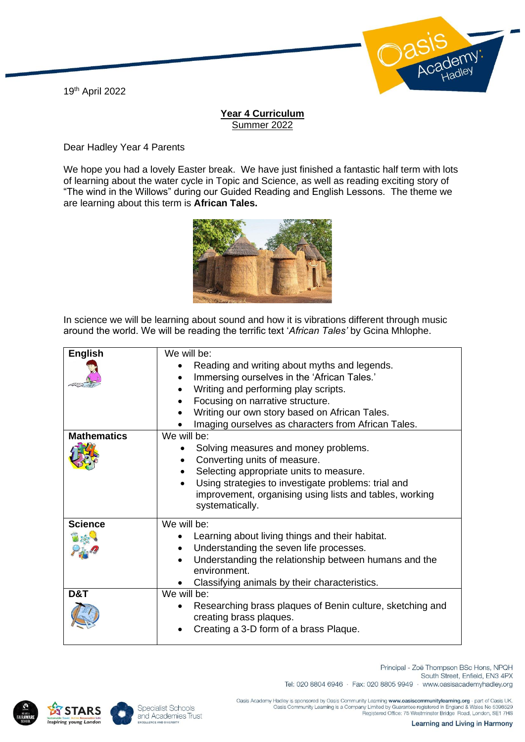19th April 2022



## **Year 4 Curriculum** Summer 2022

Dear Hadley Year 4 Parents

We hope you had a lovely Easter break. We have just finished a fantastic half term with lots of learning about the water cycle in Topic and Science, as well as reading exciting story of "The wind in the Willows" during our Guided Reading and English Lessons. The theme we are learning about this term is **African Tales.**



In science we will be learning about sound and how it is vibrations different through music around the world. We will be reading the terrific text '*African Tales'* by Gcina Mhlophe.

| <b>English</b>     | We will be:                                                                          |
|--------------------|--------------------------------------------------------------------------------------|
|                    | Reading and writing about myths and legends.                                         |
|                    | Immersing ourselves in the 'African Tales.'<br>$\bullet$                             |
|                    | Writing and performing play scripts.<br>$\bullet$                                    |
|                    | Focusing on narrative structure.<br>$\bullet$                                        |
|                    | Writing our own story based on African Tales.                                        |
|                    | Imaging ourselves as characters from African Tales.                                  |
| <b>Mathematics</b> | We will be:                                                                          |
|                    | Solving measures and money problems.<br>٠                                            |
|                    | Converting units of measure.                                                         |
|                    | Selecting appropriate units to measure.                                              |
|                    | Using strategies to investigate problems: trial and                                  |
|                    | improvement, organising using lists and tables, working<br>systematically.           |
| <b>Science</b>     | We will be:                                                                          |
|                    | Learning about living things and their habitat.                                      |
|                    | Understanding the seven life processes.<br>$\bullet$                                 |
|                    | Understanding the relationship between humans and the<br>$\bullet$<br>environment.   |
|                    | Classifying animals by their characteristics.                                        |
| D&T                | We will be:                                                                          |
|                    | Researching brass plaques of Benin culture, sketching and<br>creating brass plaques. |
|                    | Creating a 3-D form of a brass Plaque.                                               |





South Street, Enfield, EN3 4PX Tel: 020 8804 6946 · Fax: 020 8805 9949 · www.oasisacademyhadley.org

Principal - Zoë Thompson BSc Hons, NPQH